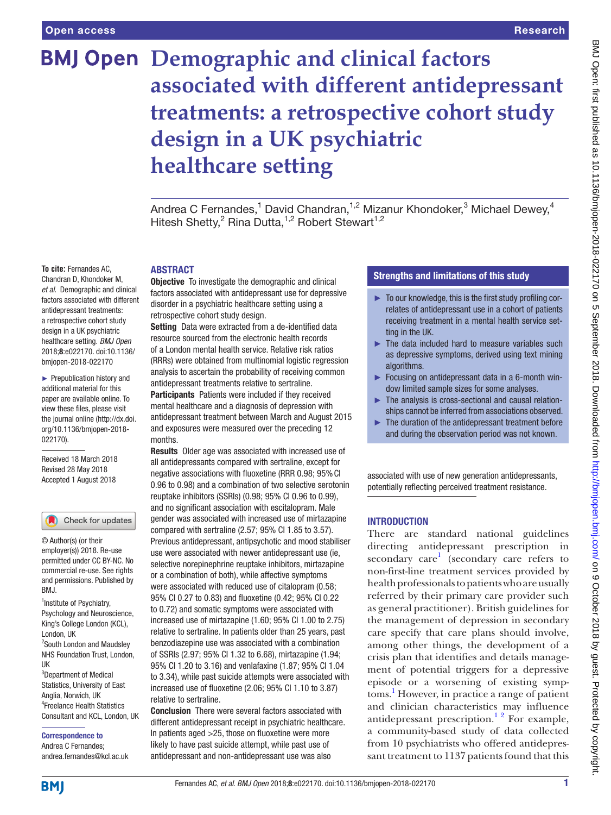# **BMJ Open Demographic and clinical factors associated with different antidepressant treatments: a retrospective cohort study design in a UK psychiatric healthcare setting**

Andrea C Fernandes,<sup>1</sup> David Chandran,<sup>1,2</sup> Mizanur Khondoker,<sup>3</sup> Michael Dewey,<sup>4</sup> Hitesh Shetty,<sup>2</sup> Rina Dutta,<sup>1,2</sup> Robert Stewart<sup>1,2</sup>

#### **To cite:** Fernandes AC,

Chandran D, Khondoker M, *et al*. Demographic and clinical factors associated with different antidepressant treatments: a retrospective cohort study design in a UK psychiatric healthcare setting. *BMJ Open* 2018;8:e022170. doi:10.1136/ bmjopen-2018-022170

► Prepublication history and additional material for this paper are available online. To view these files, please visit the journal online [\(http://dx.doi.](http://dx.doi.org/10.1136/bmjopen-2018-022170) [org/10.1136/bmjopen-2018-](http://dx.doi.org/10.1136/bmjopen-2018-022170) [022170\)](http://dx.doi.org/10.1136/bmjopen-2018-022170).

Received 18 March 2018 Revised 28 May 2018 Accepted 1 August 2018

#### Check for updates

© Author(s) (or their employer(s)) 2018. Re-use permitted under CC BY-NC. No commercial re-use. See rights and permissions. Published by BMJ.

<sup>1</sup> Institute of Psychiatry, Psychology and Neuroscience, King's College London (KCL), London, UK 2 South London and Maudsley NHS Foundation Trust, London, UK

3 Department of Medical Statistics, University of East Anglia, Norwich, UK 4 Freelance Health Statistics Consultant and KCL, London, UK

#### Correspondence to

Andrea C Fernandes; andrea.fernandes@kcl.ac.uk

# **ABSTRACT**

**Objective** To investigate the demographic and clinical factors associated with antidepressant use for depressive disorder in a psychiatric healthcare setting using a retrospective cohort study design.

Setting Data were extracted from a de-identified data resource sourced from the electronic health records of a London mental health service. Relative risk ratios (RRRs) were obtained from multinomial logistic regression analysis to ascertain the probability of receiving common antidepressant treatments relative to sertraline.

Participants Patients were included if they received mental healthcare and a diagnosis of depression with antidepressant treatment between March and August 2015 and exposures were measured over the preceding 12 months.

Results Older age was associated with increased use of all antidepressants compared with sertraline, except for negative associations with fluoxetine (RRR 0.98; 95% CI 0.96 to 0.98) and a combination of two selective serotonin reuptake inhibitors (SSRIs) (0.98; 95% CI 0.96 to 0.99), and no significant association with escitalopram. Male gender was associated with increased use of mirtazapine compared with sertraline (2.57; 95% CI 1.85 to 3.57). Previous antidepressant, antipsychotic and mood stabiliser use were associated with newer antidepressant use (ie, selective norepinephrine reuptake inhibitors, mirtazapine or a combination of both), while affective symptoms were associated with reduced use of citalopram (0.58; 95% CI 0.27 to 0.83) and fluoxetine (0.42; 95% CI 0.22 to 0.72) and somatic symptoms were associated with increased use of mirtazapine (1.60; 95% CI 1.00 to 2.75) relative to sertraline. In patients older than 25 years, past benzodiazepine use was associated with a combination of SSRIs (2.97; 95% CI 1.32 to 6.68), mirtazapine (1.94; 95% CI 1.20 to 3.16) and venlafaxine (1.87; 95% CI 1.04 to 3.34), while past suicide attempts were associated with increased use of fluoxetine (2.06; 95% CI 1.10 to 3.87) relative to sertraline.

Conclusion There were several factors associated with different antidepressant receipt in psychiatric healthcare. In patients aged >25, those on fluoxetine were more likely to have past suicide attempt, while past use of antidepressant and non-antidepressant use was also

## Strengths and limitations of this study

- ► To our knowledge, this is the first study profiling correlates of antidepressant use in a cohort of patients receiving treatment in a mental health service setting in the UK.
- $\blacktriangleright$  The data included hard to measure variables such as depressive symptoms, derived using text mining algorithms.
- ► Focusing on antidepressant data in a 6-month window limited sample sizes for some analyses.
- ► The analysis is cross-sectional and causal relationships cannot be inferred from associations observed.
- ► The duration of the antidepressant treatment before and during the observation period was not known.

associated with use of new generation antidepressants, potentially reflecting perceived treatment resistance.

#### **INTRODUCTION**

There are standard national guidelines directing antidepressant prescription in secondary care<sup>[1](#page-10-0)</sup> (secondary care refers to non-first-line treatment services provided by health professionals to patients who are usually referred by their primary care provider such as general practitioner). British guidelines for the management of depression in secondary care specify that care plans should involve, among other things, the development of a crisis plan that identifies and details management of potential triggers for a depressive episode or a worsening of existing symp-toms.<sup>[1](#page-10-0)</sup> However, in practice a range of patient and clinician characteristics may influence antidepressant prescription.<sup>12</sup> For example, a community-based study of data collected from 10 psychiatrists who offered antidepressant treatment to 1137 patients found that this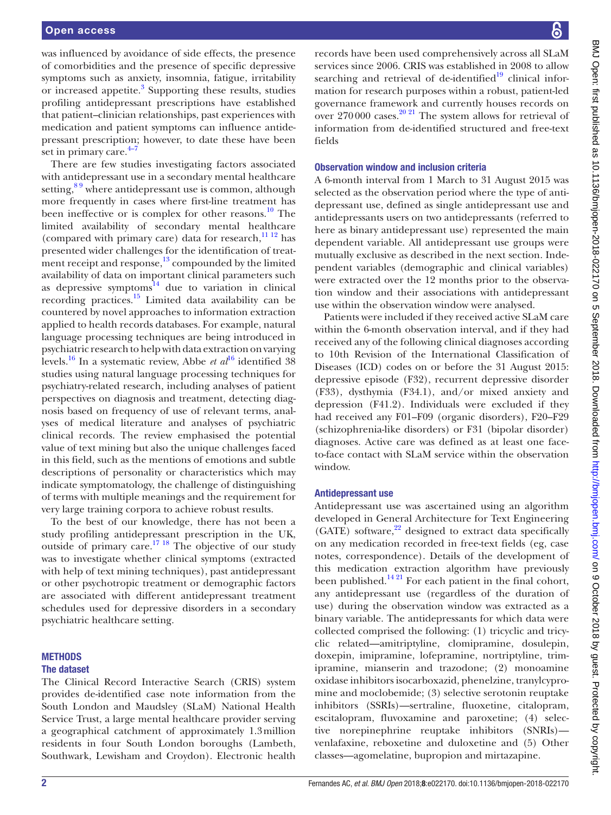was influenced by avoidance of side effects, the presence of comorbidities and the presence of specific depressive symptoms such as anxiety, insomnia, fatigue, irritability or increased appetite.<sup>[3](#page-10-1)</sup> Supporting these results, studies profiling antidepressant prescriptions have established that patient–clinician relationships, past experiences with medication and patient symptoms can influence antidepressant prescription; however, to date these have been set in primary care. $4-7$ 

There are few studies investigating factors associated with antidepressant use in a secondary mental healthcare setting,  $89$  where antidepressant use is common, although more frequently in cases where first-line treatment has been ineffective or is complex for other reasons.<sup>10</sup> The limited availability of secondary mental healthcare (compared with primary care) data for research, $^{11}$   $^{12}$  has presented wider challenges for the identification of treatment receipt and response, $\frac{13}{3}$  $\frac{13}{3}$  $\frac{13}{3}$  compounded by the limited availability of data on important clinical parameters such as depressive symptoms $^{14}$  due to variation in clinical recording practices.[15](#page-11-1) Limited data availability can be countered by novel approaches to information extraction applied to health records databases. For example, natural language processing techniques are being introduced in psychiatric research to help with data extraction on varying levels[.16](#page-11-2) In a systematic review, Abbe *et al*[16](#page-11-2) identified 38 studies using natural language processing techniques for psychiatry-related research, including analyses of patient perspectives on diagnosis and treatment, detecting diagnosis based on frequency of use of relevant terms, analyses of medical literature and analyses of psychiatric clinical records. The review emphasised the potential value of text mining but also the unique challenges faced in this field, such as the mentions of emotions and subtle descriptions of personality or characteristics which may indicate symptomatology, the challenge of distinguishing of terms with multiple meanings and the requirement for very large training corpora to achieve robust results.

To the best of our knowledge, there has not been a study profiling antidepressant prescription in the UK, outside of primary care.<sup>[17 18](#page-11-3)</sup> The objective of our study was to investigate whether clinical symptoms (extracted with help of text mining techniques), past antidepressant or other psychotropic treatment or demographic factors are associated with different antidepressant treatment schedules used for depressive disorders in a secondary psychiatric healthcare setting.

#### **METHODS** The dataset

The Clinical Record Interactive Search (CRIS) system provides de-identified case note information from the South London and Maudsley (SLaM) National Health Service Trust, a large mental healthcare provider serving a geographical catchment of approximately 1.3million residents in four South London boroughs (Lambeth, Southwark, Lewisham and Croydon). Electronic health

records have been used comprehensively across all SLaM services since 2006. CRIS was established in 2008 to allow searching and retrieval of de-identified $19$  clinical information for research purposes within a robust, patient-led governance framework and currently houses records on over  $270000$  cases.<sup>20 21</sup> The system allows for retrieval of information from de-identified structured and free-text fields

#### Observation window and inclusion criteria

A 6-month interval from 1 March to 31 August 2015 was selected as the observation period where the type of antidepressant use, defined as single antidepressant use and antidepressants users on two antidepressants (referred to here as binary antidepressant use) represented the main dependent variable. All antidepressant use groups were mutually exclusive as described in the next section. Independent variables (demographic and clinical variables) were extracted over the 12 months prior to the observation window and their associations with antidepressant use within the observation window were analysed.

Patients were included if they received active SLaM care within the 6-month observation interval, and if they had received any of the following clinical diagnoses according to 10th Revision of the International Classification of Diseases (ICD) codes on or before the 31 August 2015: depressive episode (F32), recurrent depressive disorder (F33), dysthymia (F34.1), and/or mixed anxiety and depression (F41.2). Individuals were excluded if they had received any F01–F09 (organic disorders), F20–F29 (schizophrenia-like disorders) or F31 (bipolar disorder) diagnoses. Active care was defined as at least one faceto-face contact with SLaM service within the observation window.

## Antidepressant use

Antidepressant use was ascertained using an algorithm developed in General Architecture for Text Engineering  $(GATE)$  software,<sup>22</sup> designed to extract data specifically on any medication recorded in free-text fields (eg, case notes, correspondence). Details of the development of this medication extraction algorithm have previously been published.<sup>14 21</sup> For each patient in the final cohort, any antidepressant use (regardless of the duration of use) during the observation window was extracted as a binary variable. The antidepressants for which data were collected comprised the following: (1) tricyclic and tricyclic related—amitriptyline, clomipramine, dosulepin, doxepin, imipramine, lofepramine, nortriptyline, trimipramine, mianserin and trazodone; (2) monoamine oxidase inhibitors isocarboxazid, phenelzine, tranylcypromine and moclobemide; (3) selective serotonin reuptake inhibitors (SSRIs)—sertraline, fluoxetine, citalopram, escitalopram, fluvoxamine and paroxetine; (4) selective norepinephrine reuptake inhibitors (SNRIs) venlafaxine, reboxetine and duloxetine and (5) Other classes—agomelatine, bupropion and mirtazapine.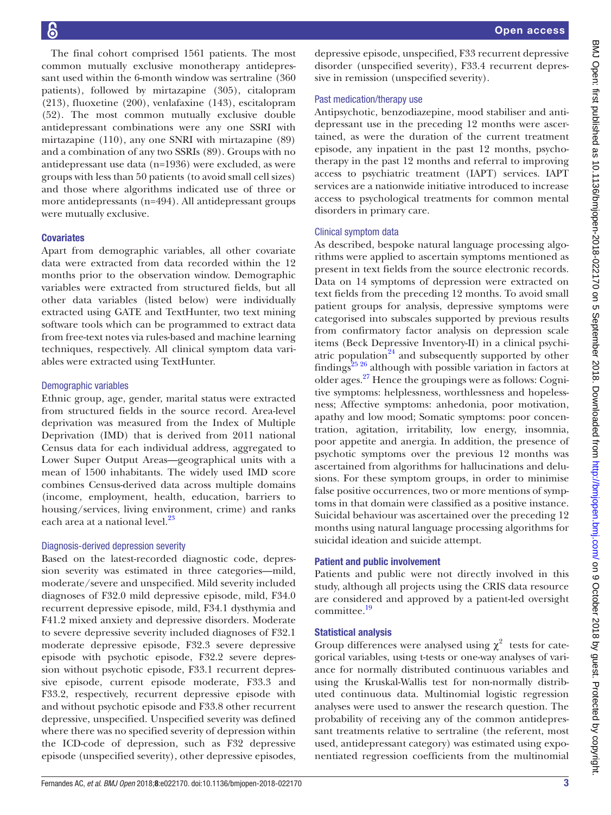The final cohort comprised 1561 patients. The most common mutually exclusive monotherapy antidepressant used within the 6-month window was sertraline (360 patients), followed by mirtazapine (305), citalopram (213), fluoxetine (200), venlafaxine (143), escitalopram (52). The most common mutually exclusive double antidepressant combinations were any one SSRI with mirtazapine (110), any one SNRI with mirtazapine (89) and a combination of any two SSRIs (89). Groups with no antidepressant use data (n=1936) were excluded, as were groups with less than 50 patients (to avoid small cell sizes) and those where algorithms indicated use of three or more antidepressants (n=494). All antidepressant groups were mutually exclusive.

## **Covariates**

Apart from demographic variables, all other covariate data were extracted from data recorded within the 12 months prior to the observation window. Demographic variables were extracted from structured fields, but all other data variables (listed below) were individually extracted using GATE and TextHunter, two text mining software tools which can be programmed to extract data from free-text notes via rules-based and machine learning techniques, respectively. All clinical symptom data variables were extracted using TextHunter.

#### Demographic variables

Ethnic group, age, gender, marital status were extracted from structured fields in the source record. Area-level deprivation was measured from the Index of Multiple Deprivation (IMD) that is derived from 2011 national Census data for each individual address, aggregated to Lower Super Output Areas—geographical units with a mean of 1500 inhabitants. The widely used IMD score combines Census-derived data across multiple domains (income, employment, health, education, barriers to housing/services, living environment, crime) and ranks each area at a national level.<sup>[23](#page-11-7)</sup>

## Diagnosis-derived depression severity

Based on the latest-recorded diagnostic code, depression severity was estimated in three categories—mild, moderate/severe and unspecified. Mild severity included diagnoses of F32.0 mild depressive episode, mild, F34.0 recurrent depressive episode, mild, F34.1 dysthymia and F41.2 mixed anxiety and depressive disorders. Moderate to severe depressive severity included diagnoses of F32.1 moderate depressive episode, F32.3 severe depressive episode with psychotic episode, F32.2 severe depression without psychotic episode, F33.1 recurrent depressive episode, current episode moderate, F33.3 and F33.2, respectively, recurrent depressive episode with and without psychotic episode and F33.8 other recurrent depressive, unspecified. Unspecified severity was defined where there was no specified severity of depression within the ICD-code of depression, such as F32 depressive episode (unspecified severity), other depressive episodes,

depressive episode, unspecified, F33 recurrent depressive disorder (unspecified severity), F33.4 recurrent depressive in remission (unspecified severity).

## Past medication/therapy use

Antipsychotic, benzodiazepine, mood stabiliser and antidepressant use in the preceding 12 months were ascertained, as were the duration of the current treatment episode, any inpatient in the past 12 months, psychotherapy in the past 12 months and referral to improving access to psychiatric treatment (IAPT) services. IAPT services are a nationwide initiative introduced to increase access to psychological treatments for common mental disorders in primary care.

## Clinical symptom data

As described, bespoke natural language processing algorithms were applied to ascertain symptoms mentioned as present in text fields from the source electronic records. Data on 14 symptoms of depression were extracted on text fields from the preceding 12 months. To avoid small patient groups for analysis, depressive symptoms were categorised into subscales supported by previous results from confirmatory factor analysis on depression scale items (Beck Depressive Inventory-II) in a clinical psychiatric population $24$  and subsequently supported by other findings $^{25\,26}$  although with possible variation in factors at older ages.[27](#page-11-10) Hence the groupings were as follows: Cognitive symptoms: helplessness, worthlessness and hopelessness; Affective symptoms: anhedonia, poor motivation, apathy and low mood; Somatic symptoms: poor concentration, agitation, irritability, low energy, insomnia, poor appetite and anergia. In addition, the presence of psychotic symptoms over the previous 12 months was ascertained from algorithms for hallucinations and delusions. For these symptom groups, in order to minimise false positive occurrences, two or more mentions of symptoms in that domain were classified as a positive instance. Suicidal behaviour was ascertained over the preceding 12 months using natural language processing algorithms for suicidal ideation and suicide attempt.

## Patient and public involvement

Patients and public were not directly involved in this study, although all projects using the CRIS data resource are considered and approved by a patient-led oversight committee.[19](#page-11-4)

## Statistical analysis

Group differences were analysed using  $\chi^2$  tests for categorical variables, using t-tests or one-way analyses of variance for normally distributed continuous variables and using the Kruskal-Wallis test for non-normally distributed continuous data. Multinomial logistic regression analyses were used to answer the research question. The probability of receiving any of the common antidepressant treatments relative to sertraline (the referent, most used, antidepressant category) was estimated using exponentiated regression coefficients from the multinomial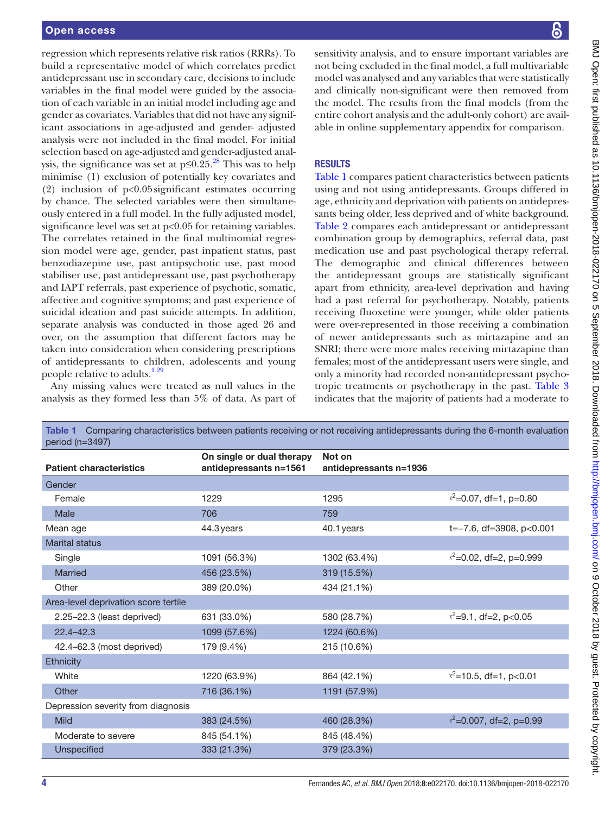regression which represents relative risk ratios (RRRs). To build a representative model of which correlates predict antidepressant use in secondary care, decisions to include variables in the final model were guided by the association of each variable in an initial model including age and gender as covariates. Variables that did not have any significant associations in age-adjusted and gender- adjusted analysis were not included in the final model. For initial selection based on age-adjusted and gender-adjusted analysis, the significance was set at  $p\leq 0.25$ .<sup>[28](#page-11-11)</sup> This was to help minimise (1) exclusion of potentially key covariates and (2) inclusion of p<0.05significant estimates occurring by chance. The selected variables were then simultaneously entered in a full model. In the fully adjusted model, significance level was set at  $p<0.05$  for retaining variables. The correlates retained in the final multinomial regression model were age, gender, past inpatient status, past benzodiazepine use, past antipsychotic use, past mood stabiliser use, past antidepressant use, past psychotherapy and IAPT referrals, past experience of psychotic, somatic, affective and cognitive symptoms; and past experience of suicidal ideation and past suicide attempts. In addition, separate analysis was conducted in those aged 26 and over, on the assumption that different factors may be taken into consideration when considering prescriptions of antidepressants to children, adolescents and young people relative to adults.<sup>129</sup>

Any missing values were treated as null values in the analysis as they formed less than 5% of data. As part of BMJ Open: first published as 10.11136/bmijopen-2018-022170 on 5 September 2018. Downloaded from http://bmijopen.bmj.com/ on 9 October 2018 by guest. Protected by copyright BMJ Open: first published as 10.1136/bmjopen-2018-022170 on 5 September 2018. Downloaded from <http://bmjopen.bmj.com/> on 9 October 2018 by guest. Protected by copyright.

sensitivity analysis, and to ensure important variables are not being excluded in the final model, a full multivariable model was analysed and any variables that were statistically and clinically non-significant were then removed from the model. The results from the final models (from the entire cohort analysis and the adult-only cohort) are available in online [supplementary appendix](https://dx.doi.org/10.1136/bmjopen-2018-022170) for comparison.

# **RESULTS**

[Table](#page-3-0) 1 compares patient characteristics between patients using and not using antidepressants. Groups differed in age, ethnicity and deprivation with patients on antidepressants being older, less deprived and of white background. [Table](#page-4-0) 2 compares each antidepressant or antidepressant combination group by demographics, referral data, past medication use and past psychological therapy referral. The demographic and clinical differences between the antidepressant groups are statistically significant apart from ethnicity, area-level deprivation and having had a past referral for psychotherapy. Notably, patients receiving fluoxetine were younger, while older patients were over-represented in those receiving a combination of newer antidepressants such as mirtazapine and an SNRI; there were more males receiving mirtazapine than females; most of the antidepressant users were single, and only a minority had recorded non-antidepressant psychotropic treatments or psychotherapy in the past. [Table](#page-6-0) 3 indicates that the majority of patients had a moderate to

<span id="page-3-0"></span>

| Table 1<br>period (n=3497)           |                                                     |                                  | Comparing characteristics between patients receiving or not receiving antidepressants during the 6-month evaluation |
|--------------------------------------|-----------------------------------------------------|----------------------------------|---------------------------------------------------------------------------------------------------------------------|
| <b>Patient characteristics</b>       | On single or dual therapy<br>antidepressants n=1561 | Not on<br>antidepressants n=1936 |                                                                                                                     |
| Gender                               |                                                     |                                  |                                                                                                                     |
| Female                               | 1229                                                | 1295                             | $x^2$ =0.07, df=1, p=0.80                                                                                           |
| Male                                 | 706                                                 | 759                              |                                                                                                                     |
| Mean age                             | 44.3 years                                          | 40.1 years                       | $t=-7.6$ , df=3908, p<0.001                                                                                         |
| <b>Marital status</b>                |                                                     |                                  |                                                                                                                     |
| Single                               | 1091 (56.3%)                                        | 1302 (63.4%)                     | $x^2$ =0.02, df=2, p=0.999                                                                                          |
| Married                              | 456 (23.5%)                                         | 319 (15.5%)                      |                                                                                                                     |
| Other                                | 389 (20.0%)                                         | 434 (21.1%)                      |                                                                                                                     |
| Area-level deprivation score tertile |                                                     |                                  |                                                                                                                     |
| 2.25-22.3 (least deprived)           | 631 (33.0%)                                         | 580 (28.7%)                      | $x^2$ =9.1, df=2, p<0.05                                                                                            |
| $22.4 - 42.3$                        | 1099 (57.6%)                                        | 1224 (60.6%)                     |                                                                                                                     |
| 42.4-62.3 (most deprived)            | 179 (9.4%)                                          | 215 (10.6%)                      |                                                                                                                     |
| Ethnicity                            |                                                     |                                  |                                                                                                                     |
| White                                | 1220 (63.9%)                                        | 864 (42.1%)                      | $x^2$ =10.5, df=1, p<0.01                                                                                           |
| Other                                | 716 (36.1%)                                         | 1191 (57.9%)                     |                                                                                                                     |
| Depression severity from diagnosis   |                                                     |                                  |                                                                                                                     |
| <b>Mild</b>                          | 383 (24.5%)                                         | 460 (28.3%)                      | $x^2$ =0.007, df=2, p=0.99                                                                                          |
| Moderate to severe                   | 845 (54.1%)                                         | 845 (48.4%)                      |                                                                                                                     |
| <b>Unspecified</b>                   | 333 (21.3%)                                         | 379 (23.3%)                      |                                                                                                                     |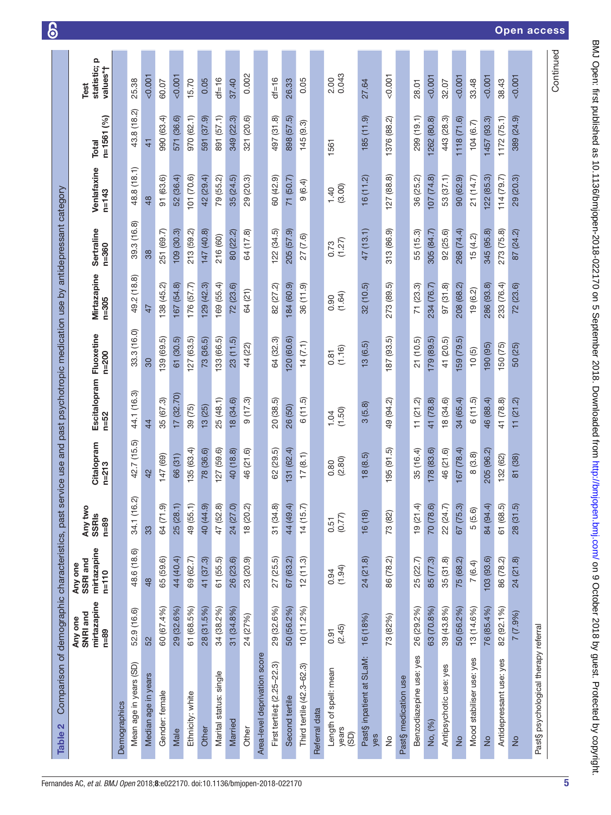<span id="page-4-0"></span>

|                                                  | mirtazapine<br>n=89<br>SNRI and<br>Any one | mirtazapine<br>n=110<br>SSRI and<br>Any one | Any two<br><b>SSRIS</b><br>$n = 89$ | Citalopram<br>$n = 213$ | Escitalopram<br>$n = 52$ | Fluoxetine<br>$n=200$ | Mirtazapine<br>$n = 305$ | Sertraline<br>$n = 360$ | Venlafaxine<br>$n = 143$ | $n = 1561 (%)$<br><b>Total</b> | statistic; p<br>values*†<br>Test |
|--------------------------------------------------|--------------------------------------------|---------------------------------------------|-------------------------------------|-------------------------|--------------------------|-----------------------|--------------------------|-------------------------|--------------------------|--------------------------------|----------------------------------|
| Demographics                                     |                                            |                                             |                                     |                         |                          |                       |                          |                         |                          |                                |                                  |
| Mean age in years (SD)                           | 52.9 (16.6)                                | 48.6 (18.6)                                 | ଦ୍<br>34.1 (16                      | 42.7 (15.5)             | 44.1 (16.3)              | 33.3 (16.0)           | 49.2 (18.8)              | 39.3 (16.8)             | 48.8 (18.1)              | 43.8 (18.2)                    | 25.38                            |
| Median age in years                              | 52                                         | 48                                          | 33                                  | 42                      | $\overline{4}$           | 30                    | 47                       | 38                      | 48                       | $\frac{4}{1}$                  | < 0.001                          |
| Gender: female                                   | 60 (67.4%)                                 | 65 (59.6)                                   | 64 (71.9)                           | 147 (69)                | 35 (67.3)                | 139 (69.5)            | 138 (45.2)               | 251 (69.7)              | 91 (63.6)                | 990 (63.4)                     | 60.07                            |
| Male                                             | 29 (32.6%)                                 | 44 (40.4)                                   | 25(28.1)                            | 66 (31)                 | 17 (32.70)               | 61 (30.5)             | 167 (54.8)               | 109(30.3)               | 52 (36.4)                | 571 (36.6)                     | 0.001                            |
| Ethnicity: white                                 | 61 (68.5%)                                 | 69 (62.7)                                   | 49 (55.1)                           | 135(63.4)               | 39(75)                   | 127(63.5)             | 176(57.7)                | 213 (59.2)              | 101 (70.6)               | 970 (62.1)                     | 15.70                            |
| Other                                            | 28 (31.5%)                                 | 41 (37.3)                                   | 40 (44.9)                           | 78 (36.6)               | 13(25)                   | 73(36.5)              | 129(42.3)                | 147 (40.8)              | 42 (29.4)                | 591 (37.9)                     | 0.05                             |
| Marital status: single                           | 34 (38.2%)                                 | 61 (55.5)                                   | 47 (52.8)                           | 127 (59.6)              | 25(48.1)                 | 133 (66.5)            | 169 (55.4)               | 216 (60)                | 79 (55.2)                | 891 (57.1)                     | $dt = 16$                        |
| Married                                          | 31 (34.8%)                                 | 26 (23.6)                                   | 24 (27.0                            | 40 (18.8)               | 18 (34.6)                | 23(11.5)              | 72(23.6)                 | 80 (22.2)               | 35 (24.5)                | 349 (22.3)                     | 37.40                            |
| Other                                            | 24 (27%)                                   | 23 (20.9)                                   | 18 (20.2                            | 46 (21.6)               | (17.3)<br>ၜ              | 44 (22)               | 64 (21)                  | 64 (17.8)               | 29 (20.3)                | 321 (20.6)                     | 0.002                            |
| Area-level deprivation score                     |                                            |                                             |                                     |                         |                          |                       |                          |                         |                          |                                |                                  |
| First tertile‡ (2.25-22.3)                       | 29 (32.6%)                                 | 27 (25.5)                                   | 31(34.8)                            | 62 (29.5)               | 20 (38.5)                | 64 (32.3)             | 82 (27.2)                | 122(34.5)               | 60 (42.9)                | 497 (31.8)                     | $dt = 16$                        |
| Second tertile                                   | 50 (56.2%)                                 | 67 (63.2)                                   | 44 (49.4                            | 131(62.4)               | 26 (50)                  | 120 (60.6)            | 184 (60.9)               | 205 (57.9)              | 71(50.7)                 | 898 (57.5)                     | 26.33                            |
| Third tertile (42.3-62.3)                        | 10(11.2%)                                  | 12(11.3)                                    | 14(15.7)                            | 17(8.1)                 | 6(11.5)                  | 14(7.1)               | 36 (11.9)                | 27 (7.6)                | 9(6.4)                   | 145(9.3)                       | 0.05                             |
| Referral data                                    |                                            |                                             |                                     |                         |                          |                       |                          |                         |                          |                                |                                  |
| Length of spell: mean<br>years<br>$\overline{3}$ | (2.45)<br>0.91                             | (1.94)<br>0.94                              | (0.77)<br>0.51                      | (2.80)<br>0.80          | (1.50)<br>1.04           | (1.16)<br>0.81        | (1.64)<br>0.90           | (1.27)<br>0.73          | (3.00)<br>1.40           | 1561                           | 0.043<br>2.00                    |
| Past§ inpatient at SLaM:<br>yes                  | 16 (18%)                                   | 24(21.8)                                    | 16(18)                              | 18(8.5)                 | 3(5.8)                   | 13(6.5)               | 32(10.5)                 | 47 (13.1)               | 16(11.2)                 | 185(11.9)                      | 27.64                            |
| ş                                                | 73 (82%)                                   | 86 (78.2)                                   | 73 (82)                             | 195(91.5)               | 49 (94.2)                | 187(93.5)             | 273 (89.5)               | 313 (86.9)              | 127(88.8)                | 1376 (88.2)                    | < 0.001                          |
| Past§ medication use                             |                                            |                                             |                                     |                         |                          |                       |                          |                         |                          |                                |                                  |
| Benzodiazepine use: yes                          | 26 (29.2%)                                 | 25 (22.7)                                   | 19(21.4)                            | 35 (16.4)               | 11(21.2)                 | 21 (10.5)             | 71(23.3)                 | 55 (15.3)               | 36 (25.2)                | 299 (19.1)                     | 28.01                            |
| No, (%)                                          | 63 (70.8%)                                 | 85 (77.3)                                   | 70 (78.6                            | 178 (83.6)              | (78.8)<br>$\frac{1}{4}$  | 79 (89.5)             | 234 (76.7)               | 305 (84.7)              | 107 (74.8)               | 262 (80.8)                     | 0.001                            |
| Antipsychotic use: yes                           | 39 (43.8%)                                 | 35(31.8)                                    | 22 (24.7)                           | 46 (21.6)               | 18 (34.6)                | 41 (20.5)             | 97(31.8)                 | 92(25.6)                | 53 (37.1)                | 443 (28.3)                     | 32.07                            |
| $\frac{1}{2}$                                    | 50 (56.2%)                                 | 75 (68.2)                                   | 67 (75.3                            | 167 (78.4)              | 34 (65.4)                | 59 (79.5)             | 208 (68.2)               | 268 (74.4)              | 90 (62.9)                | 1118(71.6)                     | < 0.001                          |
| Mood stabiliser use: yes                         | 13 (14.6%)                                 | 7(6.4)                                      | 5(5.6)                              | 8(3.8)                  | 6(11.5)                  | 10(5)                 | (6.2)<br>$\frac{1}{9}$   | 15(4.2)                 | 21 (14.7)                | 104(6.7)                       | 33.48                            |
| $\frac{1}{2}$                                    | 76 (85.4%)                                 | 103 (93.6)                                  | 84 (94.4                            | 205 (96.2)              | 46 (88.4)                | 190 (95)              | 286 (93.8)               | 345 (95.8)              | 122(85.3)                | 1457 (93.3)                    | < 0.001                          |
| Antidepressant use: yes                          | 82 (92.1%)                                 | 86 (78.2)                                   | 61 (68.5                            | 132 (62)                | 41 (78.8)                | 150 (75)              | 233 (76.4)               | 273 (75.8)              | 114(79.7)                | 1172(75.1)                     | 38.43                            |
| $\frac{1}{2}$                                    | 7(7.9%)                                    | 24(21.8)                                    | 28(31.5)                            | 81 (38)                 | 11(21.2)                 | 50 (25)               | 72(23.6)                 | 87 (24.2)               | 29 (20.3)                | 389 (24.9)                     | < 0.001                          |
| Past§ psychological therapy referral             |                                            |                                             |                                     |                         |                          |                       |                          |                         |                          |                                |                                  |
|                                                  |                                            |                                             |                                     |                         |                          |                       |                          |                         |                          |                                | Continued                        |

 $\delta$ 

# Open access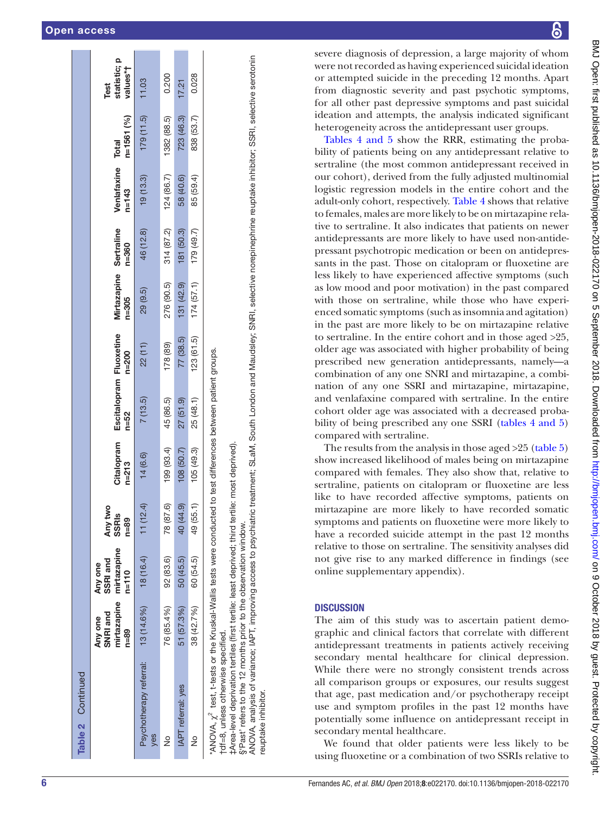| Table 2 Continued                                                                                                                                                                                                                                                                      |                                                |                                                 |                                     |                         |                                             |                                      |                                     |            |                                |                |                                  |
|----------------------------------------------------------------------------------------------------------------------------------------------------------------------------------------------------------------------------------------------------------------------------------------|------------------------------------------------|-------------------------------------------------|-------------------------------------|-------------------------|---------------------------------------------|--------------------------------------|-------------------------------------|------------|--------------------------------|----------------|----------------------------------|
|                                                                                                                                                                                                                                                                                        | mirtazapine<br>SNRI and<br>Any one<br>$n = 89$ | mirtazapine<br>SSRI and<br>Any one<br>$n = 110$ | Any two<br><b>SSRIS</b><br>$n = 89$ | Citalopram<br>$n = 213$ | n=52                                        | Escitalopram Fluoxetine<br>$n = 200$ | Mirtazapine Sertraline<br>$n = 305$ | $n = 360$  | Venlafaxine Total<br>$n = 143$ | $n = 1561 (%)$ | statistic; p<br>values*†<br>Test |
| Psychotherapy referral:<br>ves                                                                                                                                                                                                                                                         | $13(14.6\%)$                                   | 18 (16.4)                                       | 11(12.4)                            | 14(6.6)                 | 7(13.5)                                     | 22(11)                               | 29(9.5)                             | 46 (12.8)  | 19(13.3)                       | 179(11.5)      | 11.03                            |
| $\frac{1}{2}$                                                                                                                                                                                                                                                                          | 76 (85.4%)                                     | 92 (83.6)                                       | 78 (87.6)                           | 199 (93.4)              | 45 (86.5)                                   | 178 (89)                             | 276 (90.5)                          | 314(87.2)  | 124 (86.7)                     | 1382 (88.5)    | 0.200                            |
| IAPT referral: yes                                                                                                                                                                                                                                                                     | 51 (57.3%)                                     | 50 (45.5)                                       | 40 (44.9)                           | 108(50.7)               | 27(51.9)                                    | 77(38.5)                             | 131 (42.9)                          | 181 (50.3) | 58 (40.6)                      | 723 (46.3)     | 17.21                            |
| ⋚                                                                                                                                                                                                                                                                                      | 38 (42.7%)                                     | 60 (54.5)                                       | 49 (55.1                            | 105(49.3)               | 25 (48.1)                                   | 123(61.5)                            | 174(57.1)                           | 179(49.7)  | 85 (59.4)                      | 838 (53.7)     | 0.028                            |
| tArea-level deprivation tertiles (first tertile: least deprived; third tertile: most deprived).<br>"ANOVA, $\chi^2$ test, t-tests or the Kruskal-Wallis tests were conducted<br>S' Past, refere to the 12 months prior to the observation window<br>tdf=8, unless otherwise specified. |                                                |                                                 |                                     |                         | to test differences between patient groups. |                                      |                                     |            |                                |                |                                  |

§'Past' refers to the 12 months prior to the observation window.  $\overline{a}$  $\overline{a}$ 

ANOVA, analysis of variance; IAPT, improving access to psychiatric treatment; SLaM, South London and Maudsley; SNRI, selective norepinephrine reuptake inhibitor; SSRI, selective serotonin ANOVA, analysis of variance; IAPT, improving access to psychiatric treatment; SLaM, South London and Maudsley; SNRI, selective norepinephrine reuptake inhibitor; SSRI, selective serotonin reuptake inhibitor. reuptake inhibitor

கெ severe diagnosis of depression, a large majority of whom were not recorded as having experienced suicidal ideation or attempted suicide in the preceding 12 months. Apart from diagnostic severity and past psychotic symptoms, for all other past depressive symptoms and past suicidal ideation and attempts, the analysis indicated significant heterogeneity across the antidepressant user groups.

Tables [4 and 5](#page-7-0) show the RRR, estimating the probability of patients being on any antidepressant relative to sertraline (the most common antidepressant received in our cohort), derived from the fully adjusted multinomial logistic regression models in the entire cohort and the adult-only cohort, respectively. [Table](#page-7-0) 4 shows that relative to females, males are more likely to be on mirtazapine relative to sertraline. It also indicates that patients on newer antidepressants are more likely to have used non-antide pressant psychotropic medication or been on antidepres sants in the past. Those on citalopram or fluoxetine are less likely to have experienced affective symptoms (such as low mood and poor motivation) in the past compared with those on sertraline, while those who have experienced somatic symptoms (such as insomnia and agitation) in the past are more likely to be on mirtazapine relative to sertraline. In the entire cohort and in those aged >25, older age was associated with higher probability of being prescribed new generation antidepressants, namely—a combination of any one SNRI and mirtazapine, a combi nation of any one SSRI and mirtazapine, mirtazapine, and venlafaxine compared with sertraline. In the entire cohort older age was associated with a decreased probability of being prescribed any one SSRI (tables [4 and 5](#page-7-0)) compared with sertraline.

The results from the analysis in those aged >25 ([table](#page-8-0) 5) show increased likelihood of males being on mirtazapine compared with females. They also show that, relative to sertraline, patients on citalopram or fluoxetine are less like to have recorded affective symptoms, patients on mirtazapine are more likely to have recorded somatic symptoms and patients on fluoxetine were more likely to have a recorded suicide attempt in the past 12 months relative to those on sertraline. The sensitivity analyses did not give rise to any marked difference in findings (see online [supplementary appendix](https://dx.doi.org/10.1136/bmjopen-2018-022170)).

# **DISCUSSION**

The aim of this study was to ascertain patient demographic and clinical factors that correlate with different antidepressant treatments in patients actively receiving secondary mental healthcare for clinical depression. While there were no strongly consistent trends across all comparison groups or exposures, our results suggest that age, past medication and/or psychotherapy receipt use and symptom profiles in the past 12 months have potentially some influence on antidepressant receipt in secondary mental healthcare.

We found that older patients were less likely to be using fluoxetine or a combination of two SSRIs relative to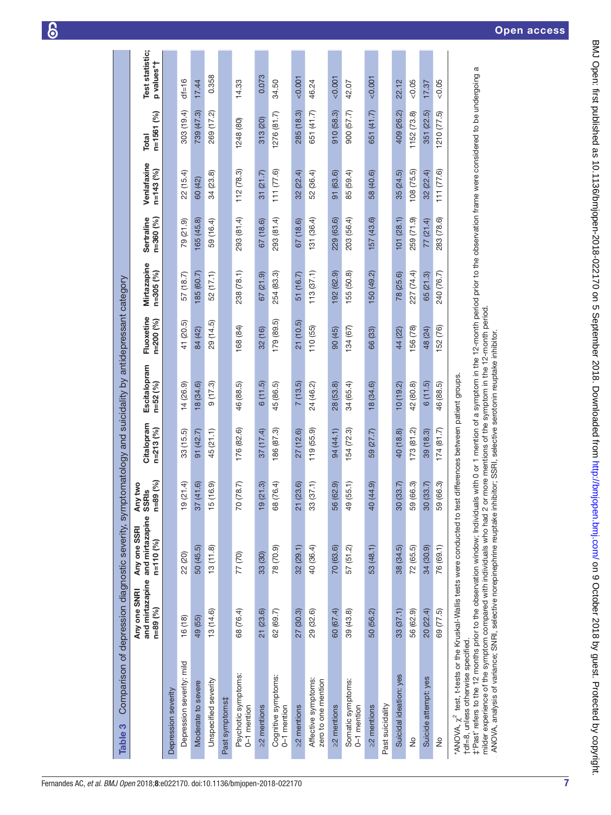|                                                                                                                                                                                                                                                                                                                                                                                                                                                  | n=89 (%)  | Any one SNRI Any one SSRI Any two<br>and mirtazapine and mirtazapine SSRIs<br>n=110 (%) | n=89 (%)  | Citalopram<br>$n = 213(%)$ | Escitalopram<br>n=52 (%)                                                                                                                                                                | Fluoxetine<br>n=200 (%) | Mirtazapine<br>n=305 (%) | Sertraline<br>n=360 (%) | Venlafaxine<br>$n = 143(%)$ | n=1561 (%)<br>Total | Test statistic;<br>p values*† |
|--------------------------------------------------------------------------------------------------------------------------------------------------------------------------------------------------------------------------------------------------------------------------------------------------------------------------------------------------------------------------------------------------------------------------------------------------|-----------|-----------------------------------------------------------------------------------------|-----------|----------------------------|-----------------------------------------------------------------------------------------------------------------------------------------------------------------------------------------|-------------------------|--------------------------|-------------------------|-----------------------------|---------------------|-------------------------------|
| Depression severity                                                                                                                                                                                                                                                                                                                                                                                                                              |           |                                                                                         |           |                            |                                                                                                                                                                                         |                         |                          |                         |                             |                     |                               |
| Depression severity: mild                                                                                                                                                                                                                                                                                                                                                                                                                        | 16 (18)   | 22 (20)                                                                                 | 19(21.4)  | 33 (15.5)                  | 14(26.9)                                                                                                                                                                                | 41 (20.5)               | 57 (18.7)                | 79 (21.9)               | 22(15.4)                    | 303 (19.4)          | $dt = 16$                     |
| Moderate to severe                                                                                                                                                                                                                                                                                                                                                                                                                               | 49 (55)   | 50 (45.5)                                                                               | 37(41.6)  | 91(42.7)                   | 18 (34.6)                                                                                                                                                                               | 84 (42)                 | 185 (60.7)               | 165 (45.8)              | 60 (42)                     | 739 (47.3)          | 17.44                         |
| Unspecified severity                                                                                                                                                                                                                                                                                                                                                                                                                             | 13(14.6)  | 13(11.8)                                                                                | 5 (16.9)  | 45 (21.1)                  | 9(17.3)                                                                                                                                                                                 | 29 (14.5)               | 52 (17.1)                | 59 (16.4)               | 34 (23.8)                   | 269 (17.2)          | 0.358                         |
| Past symptoms‡                                                                                                                                                                                                                                                                                                                                                                                                                                   |           |                                                                                         |           |                            |                                                                                                                                                                                         |                         |                          |                         |                             |                     |                               |
| Psychotic symptoms:<br>0-1 mention                                                                                                                                                                                                                                                                                                                                                                                                               | 68 (76.4) | 77 (70)                                                                                 | 70 (78.7) | 176 (82.6)                 | 46 (88.5)                                                                                                                                                                               | 168 (84)                | 238 (78.1)               | 293 (81.4)              | 112(78.3)                   | 1248 (80)           | 14.33                         |
| $22$ mentions                                                                                                                                                                                                                                                                                                                                                                                                                                    | 21(23.6)  | 33 (30)                                                                                 | 19(21.3)  | 37(17.4)                   | 6(11.5)                                                                                                                                                                                 | 32 (16)                 | 67(21.9)                 | 67 (18.6)               | 31(21.7)                    | 313 (20)            | 0.073                         |
| Cognitive symptoms:<br>0-1 mention                                                                                                                                                                                                                                                                                                                                                                                                               | 62 (69.7) | 78 (70.9)                                                                               | 68 (76.4) | 186 (87.3)                 | 45 (86.5)                                                                                                                                                                               | 179 (89.5)              | 254 (83.3)               | 293 (81.4)              | 111(77.6)                   | 1276 (81.7)         | 34.50                         |
| $22$ mentions                                                                                                                                                                                                                                                                                                                                                                                                                                    | 27(30.3)  | 32(29.1)                                                                                | 21 (23.6) | 27(12.6)                   | 7(13.5)                                                                                                                                                                                 | 21 (10.5)               | 51 (16.7)                | 67 (18.6)               | 32(22.4)                    | 285 (18.3)          | 0.007                         |
| Affective symptoms:<br>zero to one mention                                                                                                                                                                                                                                                                                                                                                                                                       | 29 (32.6) | 40 (36.4)                                                                               | 33 (37.1) | 119 (55.9)                 | 24 (46.2)                                                                                                                                                                               | 110(55)                 | 113(37.1)                | 131(36.4)               | 52 (36.4)                   | 651 (41.7)          | 46.24                         |
| $22$ mentions                                                                                                                                                                                                                                                                                                                                                                                                                                    | 60 (67.4) | 70 (63.6)                                                                               | 56 (62.9) | 94 (44.1)                  | 28 (53.8)                                                                                                                                                                               | 90 (45)                 | 192 (62.9)               | 229 (63.6)              | 91 (63.6)                   | 910 (58.3)          | 0.007                         |
| Somatic symptoms:<br>0-1 mention                                                                                                                                                                                                                                                                                                                                                                                                                 | 39 (43.8) | 57(51.2)                                                                                | 49 (55.1) | 154 (72.3)                 | 34 (65.4)                                                                                                                                                                               | 134 (67)                | 155 (50.8)               | 203 (56.4)              | 85 (59.4)                   | 900 (57.7)          | 42.07                         |
| $2$ mentions                                                                                                                                                                                                                                                                                                                                                                                                                                     | 50 (56.2) | 53 (48.1)                                                                               | 40 (44.9) | 59 (27.7)                  | 18(34.6)                                                                                                                                                                                | 66 (33)                 | 150 (49.2)               | 157 (43.6)              | 58 (40.6)                   | 651 (41.7)          | 0.007                         |
| Past suicidality                                                                                                                                                                                                                                                                                                                                                                                                                                 |           |                                                                                         |           |                            |                                                                                                                                                                                         |                         |                          |                         |                             |                     |                               |
| Suicidal ideation: yes                                                                                                                                                                                                                                                                                                                                                                                                                           | 33(37.1)  | 38 (34.5)                                                                               | 30(33.7)  | 40 (18.8)                  | 10(19.2)                                                                                                                                                                                | 44 (22)                 | 78 (25.6)                | 101(28.1)               | 35 (24.5)                   | 409 (26.2)          | 22.12                         |
| ş                                                                                                                                                                                                                                                                                                                                                                                                                                                | 56 (62.9) | 72(65.5)                                                                                | 59 (66.3) | 173(81.2)                  | 42 (80.8)                                                                                                                                                                               | 56 (78)                 | 227 (74.4)               | 259 (71.9)              | 108(75.5)                   | 1152 (73.8)         | &0.05                         |
| Suicide attempt: yes                                                                                                                                                                                                                                                                                                                                                                                                                             | 20 (22.4) | 34 (30.9)                                                                               | 30(33.7)  | 39 (18.3)                  | 6(11.5)                                                                                                                                                                                 | 48 (24)                 | 65 (21.3)                | 77(21.4)                | 32 (22.4)                   | 351 (22.5)          | 17.37                         |
| $\frac{1}{2}$                                                                                                                                                                                                                                                                                                                                                                                                                                    | 69 (77.5) | 76 (69.1)                                                                               | 59 (66.3) | 174(81.7)                  | 46 (88.5)                                                                                                                                                                               | 152 (76)                | 240 (76.7)               | 283 (78.6)              | 111(77.6)                   | (77.5)              | &0.05                         |
| ANOVA, analysis of variance; SNRI, selective norepinephrine reuptake inhibitor; SSRI, selective serotonin reuptake inhibitor<br>"ANOVA, $\chi^2$ test, t-tests or the Kruskal-Wallis tests were conducted to test differences between patient groups.<br>#'Past' refers to the 12 months prior to the observation window; Individu<br>milder experience of the symptom compared with individuals who had 2<br>tdf=8, unless otherwise specified. |           |                                                                                         |           |                            | als with 0 or 1 mention of a symptom in the 12-month period prior to the observation frame were considered to be undergoing a<br>or more mentions of the symptom in the 12-month period |                         |                          |                         |                             |                     |                               |

Table 3 Comparison of depression diagnostic severity, symptomatology and suicidality by antidepressant category

<span id="page-6-0"></span>Table 3

Comparison of depression diagnostic severity, symptomatology and suicidality by antidepressant category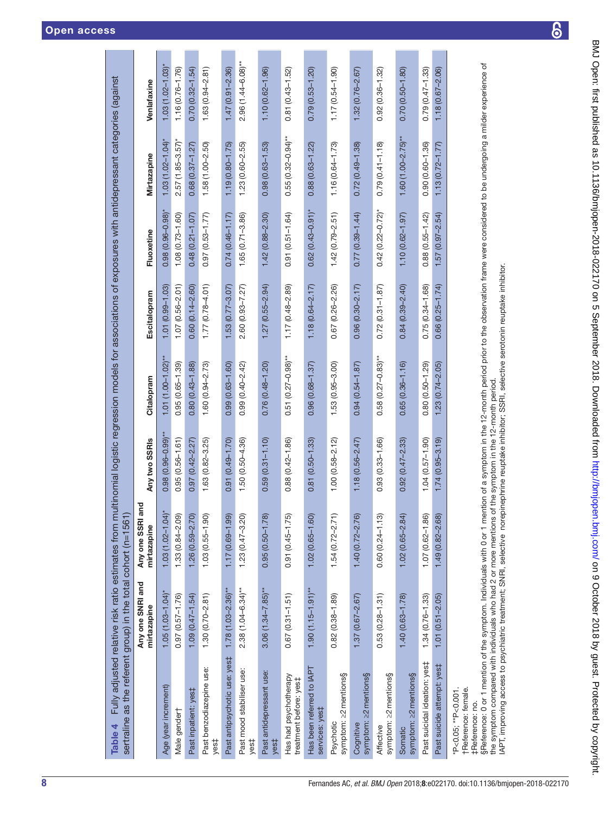| sertraline as the referent group) in the total cohort (n=1561) |                                 |                                    |                        |                        |                     |                          |                         |                         |
|----------------------------------------------------------------|---------------------------------|------------------------------------|------------------------|------------------------|---------------------|--------------------------|-------------------------|-------------------------|
|                                                                | Any one SNRI and<br>mirtazapine | ৢ<br>Any one SSRI a<br>mirtazapine | Any two SSRIs          | Citalopram             | Escitalopram        | Fluoxetine               | Mirtazapine             | Venlafaxine             |
| Age (year increment)                                           | $1.05(1.03 - 1.04)^{*}$         | $1.03(1.02 - 1.04)^*$              | $0.98(0.96 - 0.99)$ ** | $1.01(1.00 - 1.02)$ ** | $1.01(0.99 - 1.03)$ | $0.98(0.96 - 0.98)$      | $1.03(1.02 - 1.04)^{*}$ | $1.03(1.02 - 1.03)^{*}$ |
| Male gender†                                                   | $0.97(0.57 - 1.76)$             | $1.33(0.84 - 2.09)$                | $0.95(0.56 - 1.61)$    | $0.95(0.65 - 1.39)$    | $1.07(0.56 - 2.01)$ | $1.08(0.73 - 1.60)$      | $2.57(1.85 - 3.57)^*$   | 1.16 (0.76-1.76)        |
| Past inpatient: yes‡                                           | $1.09(0.47 - 1.54)$             | $1.26(0.59 - 2.70)$                | $0.97(0.42 - 2.27)$    | $0.80(0.43 - 1.88)$    | $0.60(0.14 - 2.60)$ | $0.48(0.21 - 1.07)$      | $0.68(0.37 - 1.27)$     | $0.70(0.32 - 1.54)$     |
| Past benzodiazepine use:<br>yes‡                               | $1.30(0.70 - 2.81)$             | $1.03(0.55 - 1.90)$                | $1.63(0.82 - 3.25)$    | $1.60(0.94 - 2.73)$    | $1.77(0.78 - 4.01)$ | $0.97(0.53 - 1.77)$      | $1.58(1.00 - 2.50)$     | $1.63(0.94 - 2.81)$     |
| Past antipsychotic use: yest                                   | $1.78(1.03 - 2.36)$ **          | $1.17(0.69 - 1.99)$                | 0.91 (0.49-1.70)       | $0.99(0.63 - 1.60)$    | $1.53(0.77 - 3.07)$ | $0.74(0.46 - 1.17)$      | $1.19(0.80 - 1.75)$     | $1.47(0.91 - 2.36)$     |
| Past mood stabiliser use:<br>yest                              | $2.38(1.04 - 6.34)$ **          | $1.23(0.47 - 3.20)$                | $1.50(0.50 - 4.36)$    | $0.99(0.40 - 2.42)$    | $2.60(0.93 - 7.27)$ | $1.65(0.71 - 3.86)$      | $1.23(0.60 - 2.55)$     | $2.96(1.44 - 6.08)$ **  |
| Past antidepressant use:<br>yes‡                               | $3.06(1.34 - 7.85)$ **          | $0.95(0.50 - 1.78)$                | $0.59(0.31 - 1.10)$    | $0.76(0.48 - 1.20)$    | $1.27(0.55 - 2.94)$ | $1.42(0.88 - 2.30)$      | $0.98(0.63 - 1.53)$     | $1.10(0.62 - 1.96)$     |
| Has had psychotherapy<br>treatment before: yes‡                | $0.67(0.31 - 1.51)$             | $0.91(0.45 - 1.75)$                | $0.88(0.42 - 1.86)$    | $0.51(0.27 - 0.98)$ ** | $1.17(0.48 - 2.89)$ | $0.91(0.51 - 1.64)$      | $0.55(0.32 - 0.94)$ **  | $0.81(0.43 - 1.52)$     |
| Has been referred to IAPT<br>services: yes‡                    | $1.90(1.15-1.91)$ <sup>**</sup> | $1.02(0.65 - 1.60)$                | $0.81(0.50 - 1.33)$    | $0.96(0.68 - 1.37)$    | $1.18(0.64 - 2.17)$ | $0.62(0.43 - 0.91)^{*}$  | $0.88(0.63 - 1.22)$     | $0.79(0.53 - 1.20)$     |
| symptom: 22 mentions§<br>Psychotic                             | $0.82(0.38 - 1.89)$             | $1.54(0.72 - 2.71)$                | $1.00(0.58 - 2.12)$    | $1.53(0.95 - 3.00)$    | $0.67(0.26 - 2.26)$ | $1.42(0.79 - 2.51)$      | $1.16(0.64 - 1.73)$     | $1.17(0.54 - 1.90)$     |
| symptom: 22 mentions§<br>Cognitive                             | $1.37(0.67 - 2.67)$             | $1.40(0.72 - 2.76)$                | $1.18(0.56 - 2.47)$    | $0.94(0.54 - 1.87)$    | $0.96(0.30 - 2.17)$ | $0.77(0.39 - 1.44)$      | $0.72(0.49 - 1.38)$     | $1.32(0.76 - 2.67)$     |
| symptom: 22 mentions§<br>Affective                             | $0.53(0.28 - 1.31)$             | $0.60(0.24 - 1.13)$                | $0.93(0.33 - 1.66)$    | $0.58(0.27 - 0.83)$ ** | $0.72(0.31 - 1.87)$ | $0.42$ $(0.22 - 0.72)^*$ | $0.79(0.41 - 1.18)$     | $0.92(0.36 - 1.32)$     |
| symptom: 22 mentions§<br>Somatic                               | $1.40(0.63 - 1.78)$             | $1.02(0.65 - 2.84)$                | $0.92(0.47 - 2.33)$    | $0.65(0.36 - 1.16)$    | $0.84(0.39 - 2.40)$ | $1.10(0.62 - 1.97)$      | $1.60(1.00 - 2.75)$ **  | $0.70(0.50 - 1.80)$     |
| Past suicidal ideation: yes‡                                   | $1.34(0.76 - 1.33)$             | $1.07(0.62 - 1.86)$                | $1.04(0.57 - 1.90)$    | $0.80(0.50 - 1.29)$    | $0.75(0.34 - 1.68)$ | $0.88(0.55 - 1.42)$      | $0.90(0.60 - 1.36)$     | $0.79(0.47 - 1.33)$     |
| Past suicide attempt: yes‡                                     | $1.01(0.51 - 2.05)$             | 1.49 (0.82-2.68)                   | $1.74(0.95 - 3.19)$    | $1.23(0.74 - 2.05)$    | $0.66(0.25 - 1.74)$ | $1.57(0.97 - 2.54)$      | $1.13(0.72 - 1.77)$     | $1.18(0.67 - 2.06)$     |
| †Reference: female.<br>*P<0.05; **P<0.001.<br>‡Reference: no.  |                                 |                                    |                        |                        |                     |                          |                         |                         |

§Reference: 0 or 1 mention of the symptom. Individuals with 0 or 1 mention of a symptom in the 12-month period prior to the observation frame were considered to be undergoing a milder experience of<br>the symptom compared wit §Refeence: 0 or 1 mention of the symptom. Individuals with 0 or 1 mention of a symptom in the 12-month period prior to the observation frame were considered to be undergoing a milder experience of the symptom compared with individuals who had 2 or more mentions of the symptom in the 12-month period.

<span id="page-7-0"></span>IAPT, improving access to psychiatric treatment; SNRI, selective norepinephrine reuptake inhibitor; SSRI, selective serotonin reuptake inhibitor.

BMJ Open: first published as 10.1136/bmjopen-2018-022170 on 5 September 2018. Downloaded from <http://bmjopen.bmj.com/> on 9 October 2018 by guest. Protected by copyright.

BMJ Open: first published as 10.1136/bmjopen-2018-022170 on 5 September 2018. Downloaded from http://bmjopen.bmj.com/ on 9 October 2018 by guest. Protected by copyright.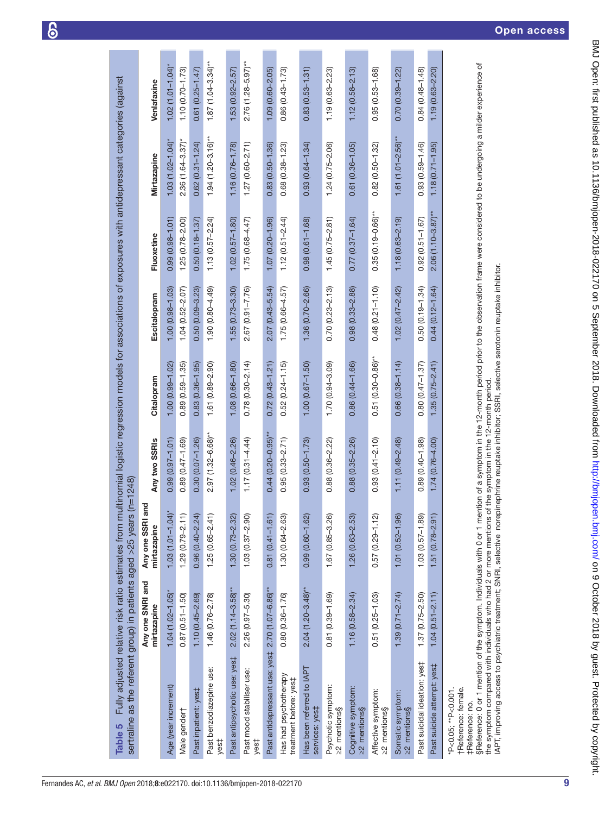| しこくて                                                                                                            |
|-----------------------------------------------------------------------------------------------------------------|
|                                                                                                                 |
| ֧֦֧֦֧֦֧֧֦֧֧֦֧֧֦֧֦֧֧֧֧֧֧֧֧֧֧֧֦֧֧֧֧֧֧֧֚֚֚֚֚֚֚֚֚֚֝֕֕֓֕֕֓֡֓֡֓֡֬֓֡֓֡֬֝֬֓֓֓֓֞֓֓֓֞֓֓֓֞֡֓֝֬֝֬֝֬֝֬֝֬֝֬֝֬֞֓֝֬             |
|                                                                                                                 |
| $\ddot{\cdot}$                                                                                                  |
|                                                                                                                 |
|                                                                                                                 |
| j                                                                                                               |
|                                                                                                                 |
| i<br>Vi                                                                                                         |
|                                                                                                                 |
|                                                                                                                 |
|                                                                                                                 |
|                                                                                                                 |
|                                                                                                                 |
|                                                                                                                 |
| ・/<br>フリリリリー<br>フリリリ                                                                                            |
|                                                                                                                 |
|                                                                                                                 |
|                                                                                                                 |
|                                                                                                                 |
| <b>ANA NON CON SE</b>                                                                                           |
|                                                                                                                 |
|                                                                                                                 |
|                                                                                                                 |
|                                                                                                                 |
|                                                                                                                 |
|                                                                                                                 |
|                                                                                                                 |
|                                                                                                                 |
| "YELL" ILS NONISLIGO Q D   ILS NONILINO O   ILS NONISLINO O   O D   O D   O D   O D   O D   O D   ILS NONI<br>Í |
|                                                                                                                 |
|                                                                                                                 |
|                                                                                                                 |
| ちてつ こつさい                                                                                                        |
|                                                                                                                 |
|                                                                                                                 |
|                                                                                                                 |
|                                                                                                                 |
| $\frac{1}{2}$                                                                                                   |
|                                                                                                                 |
|                                                                                                                 |
|                                                                                                                 |
|                                                                                                                 |
|                                                                                                                 |
|                                                                                                                 |
|                                                                                                                 |
|                                                                                                                 |
|                                                                                                                 |
|                                                                                                                 |
| ) Solo ( Solo ( Solo ) - The Colorador                                                                          |
|                                                                                                                 |
| imd/i.qtr                                                                                                       |
|                                                                                                                 |
|                                                                                                                 |
|                                                                                                                 |
|                                                                                                                 |
|                                                                                                                 |
|                                                                                                                 |
|                                                                                                                 |
|                                                                                                                 |
|                                                                                                                 |
|                                                                                                                 |
| $\frac{1}{1}$                                                                                                   |
|                                                                                                                 |
|                                                                                                                 |
|                                                                                                                 |
| $\frac{1}{2}$                                                                                                   |
|                                                                                                                 |
|                                                                                                                 |
|                                                                                                                 |
|                                                                                                                 |
|                                                                                                                 |
|                                                                                                                 |
|                                                                                                                 |
|                                                                                                                 |
| l                                                                                                               |
|                                                                                                                 |
|                                                                                                                 |
|                                                                                                                 |
|                                                                                                                 |
|                                                                                                                 |
|                                                                                                                 |

| sertraline as the referent group) in patients aged >25 years<br>Table 5 | Fully adjusted relative risk ratio estimates from multinomial logistic regression models for associations of exposures with antidepressant categories (against |                                    | $(n=1248)$             |                        |                     |                        |                         |                         |
|-------------------------------------------------------------------------|----------------------------------------------------------------------------------------------------------------------------------------------------------------|------------------------------------|------------------------|------------------------|---------------------|------------------------|-------------------------|-------------------------|
|                                                                         | Any one SNRI and<br>mirtazapine                                                                                                                                | ᅙ<br>Any one SSRI a<br>mirtazapine | Any two SSRIs          | Citalopram             | Escitalopram        | Fluoxetine             | Mirtazapine             | Venlafaxine             |
| Age (year increment)                                                    | $1.04(1.02 - 1.05)^{*}$                                                                                                                                        | $1.03(1.01 - 1.04)^{*}$            | $0.99(0.97 - 1.01)$    | $1.00(0.99 - 1.02)$    | $1.00(0.98 - 1.03)$ | $0.99(0.98 - 1.01)$    | $1.03(1.02 - 1.04)^{*}$ | $1.02(1.01 - 1.04)^{*}$ |
| Male gender†                                                            | $0.87(0.51 - 1.50)$                                                                                                                                            | $1.29(0.79 - 2.11)$                | $0.89(0.47 - 1.69)$    | $0.89(0.59 - 1.35)$    | $1.04(0.52 - 2.07)$ | $1.25(0.78 - 2.00)$    | $2.36(1.64 - 3.37)$ *   | $1.10(0.70 - 1.73)$     |
| Past inpatient: yes‡                                                    | $1.10(0.45 - 2.69)$                                                                                                                                            | $0.96(0.40 - 2.24)$                | $0.30(0.07 - 1.26)$    | $0.83(0.36 - 1.95)$    | $0.50(0.09 - 3.23)$ | $0.50(0.18 - 1.37)$    | $0.62(0.31 - 1.24)$     | $0.61(0.25 - 1.47)$     |
| Past benzodiazepine use:<br>/est                                        | $1.46(0.76 - 2.78)$                                                                                                                                            | $1.25(0.65 - 2.41)$                | $2.97(1.32 - 6.68)$ ** | $1.61(0.89 - 2.90)$    | $1.90(0.80 - 4.49)$ | $1.13(0.57 - 2.24)$    | $1.94(1.20 - 3.16)$ **  | $1.87(1.04 - 3.34)$ **  |
| Past antipsychotic use: yes‡                                            | $2.02(1.14 - 3.58)$ **                                                                                                                                         | $1.30(0.73 - 2.32)$                | $1.02(0.46 - 2.26)$    | 1.08 (0.66-1.80)       | $1.55(0.73 - 3.30)$ | $1.02(0.57 - 1.80)$    | $1.16(0.76 - 1.78)$     | $1.53(0.92 - 2.57)$     |
| Past mood stabiliser use:<br>/est                                       | $2.26(0.97 - 5.30)$                                                                                                                                            | $1.03(0.37 - 2.90)$                | $1.17(0.31 - 4.44)$    | $0.78(0.30 - 2.14)$    | $2.67(0.91 - 7.76)$ | $1.75(0.68 - 4.47)$    | $1.27(0.60 - 2.71)$     | $2.76(1.28 - 5.97)$ **  |
| Past antidepressant use: yest 2.70 (1.07-6.86)**                        |                                                                                                                                                                | $0.81(0.41 - 1.61)$                | $0.44(0.20 - 0.95)$ ** | $0.72(0.43 - 1.21)$    | $2.07(0.43 - 5.54)$ | $1.07(0.20 - 1.96)$    | $0.83(0.50 - 1.36)$     | $1.09(0.60 - 2.05)$     |
| Has had psychotherapy<br>treatment before: yes‡                         | $0.80(0.36 - 1.76)$                                                                                                                                            | $1.30(0.64 - 2.63)$                | $0.95(0.33 - 2.71)$    | $0.52(0.24 - 1.15)$    | $1.75(0.66 - 4.57)$ | $1.12(0.51 - 2.44)$    | $0.68(0.38 - 1.23)$     | $0.86(0.43 - 1.73)$     |
| Has been referred to IAPT<br>services: yes‡                             | $2.04(1.20 - 3.48)$ **                                                                                                                                         | $0.99(0.60 - 1.62)$                | $0.93(0.50 - 1.73)$    | $1.00(0.67 - 1.50)$    | 1.36 (0.70-2.66)    | $0.98(0.61 - 1.68)$    | $0.93(0.64 - 1.34)$     | $0.83(0.53 - 1.31)$     |
| Psychotic symptom:<br>>2 mentions§                                      | $0.81(0.39 - 1.69)$                                                                                                                                            | $1.67(0.85 - 3.26)$                | $0.88(0.36 - 2.22)$    | $1.70(0.94 - 3.09)$    | $0.70(0.23 - 2.13)$ | $1.45(0.75 - 2.81)$    | $1.24(0.75 - 2.06)$     | $1.19(0.63 - 2.23)$     |
| Cognitive symptom:<br>22 mentions§                                      | $1.16(0.58 - 2.34)$                                                                                                                                            | $1.26(0.63 - 2.53)$                | $0.88(0.35 - 2.26)$    | $0.86(0.44 - 1.66)$    | $0.98(0.33 - 2.88)$ | $0.77(0.37 - 1.64)$    | $0.61(0.36 - 1.05)$     | $1.12(0.58 - 2.13)$     |
| Affective symptom:<br>$\geq$ mentions§                                  | $0.51(0.25 - 1.03)$                                                                                                                                            | $0.57(0.29 - 1.12)$                | $0.93(0.41 - 2.10)$    | $0.51(0.30 - 0.86)$ ** | $0.48(0.21 - 1.10)$ | $0.35(0.19 - 0.66)$ ** | $0.82(0.50 - 1.32)$     | $0.95(0.53 - 1.68)$     |
| Somatic symptom:<br>22 mentions§                                        | $1.39(0.71 - 2.74)$                                                                                                                                            | $1.01(0.52 - 1.96)$                | $1.11(0.49 - 2.48)$    | $0.66(0.38 - 1.14)$    | $1.02(0.47 - 2.42)$ | $1.18(0.63 - 2.19)$    | $1.61(1.01 - 2.56)$ **  | $0.70(0.39 - 1.22)$     |
| Past suicidal ideation: yes‡                                            | $1.37(0.75 - 2.50)$                                                                                                                                            | $1.03(0.57 - 1.89)$                | $0.89(0.40 - 1.98)$    | $0.80(0.47 - 1.37)$    | $0.50(0.19 - 1.34)$ | $0.92(0.51 - 1.67)$    | $0.93(0.59 - 1.46)$     | $0.84(0.48 - 1.48)$     |
| Past suicide attempt: yes‡                                              | $1.04(0.51 - 2.11)$                                                                                                                                            | $1.51(0.78 - 2.91)$                | $1.74(0.76 - 4.00)$    | $1.35(0.75 - 2.41)$    | $0.44(0.12 - 1.64)$ | $2.06(1.10 - 3.87)$ ** | $1.18(0.71 - 1.95)$     | 1.19 (0.63-2.20)        |
| †Reference: female.<br>+¤eference: no<br>P<0.05; **P<0.001.             |                                                                                                                                                                |                                    |                        |                        |                     |                        |                         |                         |

‡Reference: no.

‡Reference: no.<br>§Reference: 0 or 1 mention of the symptom. Individuals with 0 or 1 mention of a symptom in the 12-month period prior to the observation frame were considered to be undergoing a milder experience of<br>the symp §Refeence: 0 or 1 mention of the symptom. Individuals with 0 or 1 mention of a symptom in the 12-month period prior to the observation frame were considered to be undergoing a milder experience of

the symptom compared with individuals who had 2 or more mentions of the symptom in the 12-month period. IAPT, improving access to psychiatric treatment; SNRI, selective norepinephrine reuptake inhibitor; SSRI, selective serotonin reuptake inhibitor.

<span id="page-8-0"></span>Fernandes AC, *et al*. *BMJ Open* 2018; 8:e022170. doi:10.1136/bmjopen-2018-022170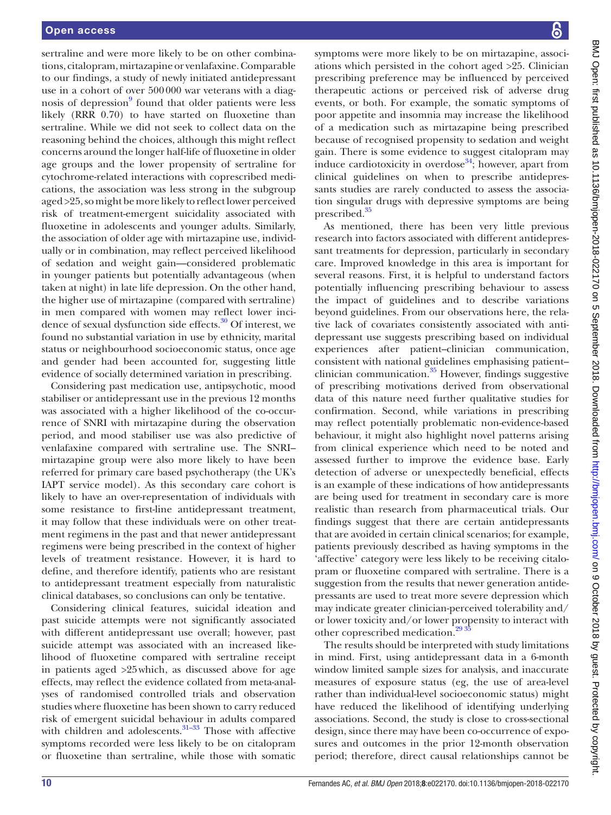sertraline and were more likely to be on other combinations, citalopram, mirtazapine or venlafaxine. Comparable to our findings, a study of newly initiated antidepressant use in a cohort of over 500000 war veterans with a diag-nosis of depression<sup>[9](#page-10-7)</sup> found that older patients were less likely (RRR 0.70) to have started on fluoxetine than sertraline. While we did not seek to collect data on the reasoning behind the choices, although this might reflect concerns around the longer half-life of fluoxetine in older age groups and the lower propensity of sertraline for cytochrome-related interactions with coprescribed medications, the association was less strong in the subgroup aged >25, so might be more likely to reflect lower perceived risk of treatment-emergent suicidality associated with fluoxetine in adolescents and younger adults. Similarly, the association of older age with mirtazapine use, individually or in combination, may reflect perceived likelihood of sedation and weight gain—considered problematic in younger patients but potentially advantageous (when taken at night) in late life depression. On the other hand, the higher use of mirtazapine (compared with sertraline) in men compared with women may reflect lower incidence of sexual dysfunction side effects.<sup>30</sup> Of interest, we found no substantial variation in use by ethnicity, marital status or neighbourhood socioeconomic status, once age and gender had been accounted for, suggesting little evidence of socially determined variation in prescribing.

Considering past medication use, antipsychotic, mood stabiliser or antidepressant use in the previous 12 months was associated with a higher likelihood of the co-occurrence of SNRI with mirtazapine during the observation period, and mood stabiliser use was also predictive of venlafaxine compared with sertraline use. The SNRI– mirtazapine group were also more likely to have been referred for primary care based psychotherapy (the UK's IAPT service model). As this secondary care cohort is likely to have an over-representation of individuals with some resistance to first-line antidepressant treatment, it may follow that these individuals were on other treatment regimens in the past and that newer antidepressant regimens were being prescribed in the context of higher levels of treatment resistance. However, it is hard to define, and therefore identify, patients who are resistant to antidepressant treatment especially from naturalistic clinical databases, so conclusions can only be tentative.

Considering clinical features, suicidal ideation and past suicide attempts were not significantly associated with different antidepressant use overall; however, past suicide attempt was associated with an increased likelihood of fluoxetine compared with sertraline receipt in patients aged >25which, as discussed above for age effects, may reflect the evidence collated from meta-analyses of randomised controlled trials and observation studies where fluoxetine has been shown to carry reduced risk of emergent suicidal behaviour in adults compared with children and adolescents. $31-33$  Those with affective symptoms recorded were less likely to be on citalopram or fluoxetine than sertraline, while those with somatic

symptoms were more likely to be on mirtazapine, associations which persisted in the cohort aged >25. Clinician prescribing preference may be influenced by perceived therapeutic actions or perceived risk of adverse drug events, or both. For example, the somatic symptoms of poor appetite and insomnia may increase the likelihood of a medication such as mirtazapine being prescribed because of recognised propensity to sedation and weight gain. There is some evidence to suggest citalopram may induce cardiotoxicity in overdose<sup>[34](#page-11-14)</sup>; however, apart from clinical guidelines on when to prescribe antidepressants studies are rarely conducted to assess the association singular drugs with depressive symptoms are being prescribed.[35](#page-11-15)

As mentioned, there has been very little previous research into factors associated with different antidepressant treatments for depression, particularly in secondary care. Improved knowledge in this area is important for several reasons. First, it is helpful to understand factors potentially influencing prescribing behaviour to assess the impact of guidelines and to describe variations beyond guidelines. From our observations here, the relative lack of covariates consistently associated with antidepressant use suggests prescribing based on individual experiences after patient–clinician communication, consistent with national guidelines emphasising patient– clinician communication. $35$  However, findings suggestive of prescribing motivations derived from observational data of this nature need further qualitative studies for confirmation. Second, while variations in prescribing may reflect potentially problematic non-evidence-based behaviour, it might also highlight novel patterns arising from clinical experience which need to be noted and assessed further to improve the evidence base. Early detection of adverse or unexpectedly beneficial, effects is an example of these indications of how antidepressants are being used for treatment in secondary care is more realistic than research from pharmaceutical trials. Our findings suggest that there are certain antidepressants that are avoided in certain clinical scenarios; for example, patients previously described as having symptoms in the 'affective' category were less likely to be receiving citalopram or fluoxetine compared with sertraline. There is a suggestion from the results that newer generation antidepressants are used to treat more severe depression which may indicate greater clinician-perceived tolerability and/ or lower toxicity and/or lower propensity to interact with other coprescribed medication.<sup>293</sup>

The results should be interpreted with study limitations in mind. First, using antidepressant data in a 6-month window limited sample sizes for analysis, and inaccurate measures of exposure status (eg, the use of area-level rather than individual-level socioeconomic status) might have reduced the likelihood of identifying underlying associations. Second, the study is close to cross-sectional design, since there may have been co-occurrence of exposures and outcomes in the prior 12-month observation period; therefore, direct causal relationships cannot be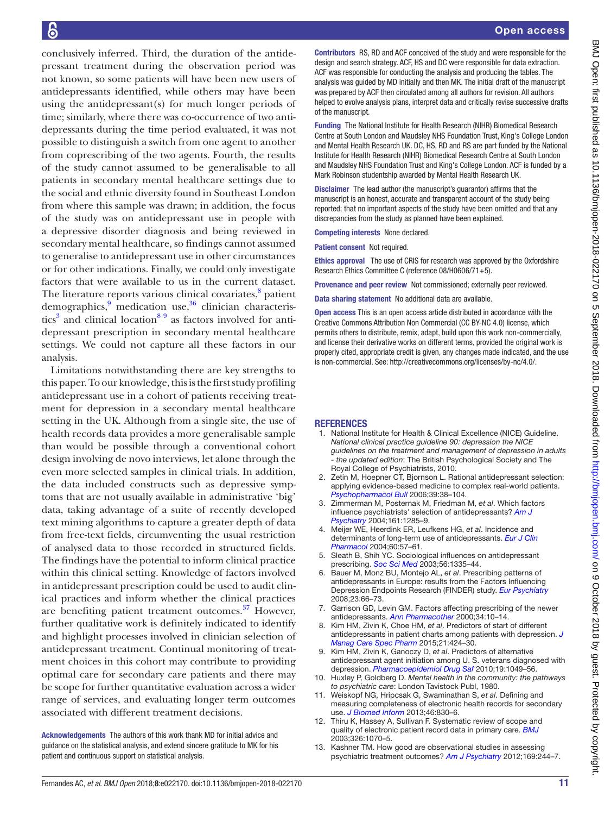analysis.

conclusively inferred. Third, the duration of the antidepressant treatment during the observation period was not known, so some patients will have been new users of antidepressants identified, while others may have been using the antidepressant(s) for much longer periods of time; similarly, where there was co-occurrence of two antidepressants during the time period evaluated, it was not possible to distinguish a switch from one agent to another from coprescribing of the two agents. Fourth, the results of the study cannot assumed to be generalisable to all patients in secondary mental healthcare settings due to the social and ethnic diversity found in Southeast London from where this sample was drawn; in addition, the focus of the study was on antidepressant use in people with a depressive disorder diagnosis and being reviewed in secondary mental healthcare, so findings cannot assumed to generalise to antidepressant use in other circumstances or for other indications. Finally, we could only investigate factors that were available to us in the current dataset. The literature reports various clinical covariates,<sup>[8](#page-10-3)</sup> patient demographics,<sup>[9](#page-10-7)</sup> medication use,<sup>[36](#page-11-17)</sup> clinician characteris-tics<sup>[3](#page-10-1)</sup> and clinical location<sup>89</sup> as factors involved for antidepressant prescription in secondary mental healthcare settings. We could not capture all these factors in our of the manuscript.

Limitations notwithstanding there are key strengths to this paper. To our knowledge, this is the first study profiling antidepressant use in a cohort of patients receiving treatment for depression in a secondary mental healthcare setting in the UK. Although from a single site, the use of health records data provides a more generalisable sample than would be possible through a conventional cohort design involving de novo interviews, let alone through the even more selected samples in clinical trials. In addition, the data included constructs such as depressive symptoms that are not usually available in administrative 'big' data, taking advantage of a suite of recently developed text mining algorithms to capture a greater depth of data from free-text fields, circumventing the usual restriction of analysed data to those recorded in structured fields. The findings have the potential to inform clinical practice within this clinical setting. Knowledge of factors involved in antidepressant prescription could be used to audit clinical practices and inform whether the clinical practices are benefiting patient treatment outcomes.<sup>[37](#page-11-18)</sup> However, further qualitative work is definitely indicated to identify and highlight processes involved in clinician selection of antidepressant treatment. Continual monitoring of treatment choices in this cohort may contribute to providing optimal care for secondary care patients and there may be scope for further quantitative evaluation across a wider range of services, and evaluating longer term outcomes associated with different treatment decisions.

Acknowledgements The authors of this work thank MD for initial advice and guidance on the statistical analysis, and extend sincere gratitude to MK for his patient and continuous support on statistical analysis.

Contributors RS, RD and ACF conceived of the study and were responsible for the design and search strategy. ACF, HS and DC were responsible for data extraction. ACF was responsible for conducting the analysis and producing the tables. The analysis was guided by MD initially and then MK. The initial draft of the manuscript was prepared by ACF then circulated among all authors for revision. All authors helped to evolve analysis plans, interpret data and critically revise successive drafts

Funding The National Institute for Health Research (NIHR) Biomedical Research Centre at South London and Maudsley NHS Foundation Trust, King's College London and Mental Health Research UK. DC, HS, RD and RS are part funded by the National Institute for Health Research (NIHR) Biomedical Research Centre at South London and Maudsley NHS Foundation Trust and King's College London. ACF is funded by a Mark Robinson studentship awarded by Mental Health Research UK.

Disclaimer The lead author (the manuscript's guarantor) affirms that the manuscript is an honest, accurate and transparent account of the study being reported; that no important aspects of the study have been omitted and that any discrepancies from the study as planned have been explained.

Competing interests None declared.

Patient consent Not required.

Ethics approval The use of CRIS for research was approved by the Oxfordshire Research Ethics Committee C (reference 08/H0606/71+5).

Provenance and peer review Not commissioned; externally peer reviewed.

Data sharing statement No additional data are available.

Open access This is an open access article distributed in accordance with the Creative Commons Attribution Non Commercial (CC BY-NC 4.0) license, which permits others to distribute, remix, adapt, build upon this work non-commercially, and license their derivative works on different terms, provided the original work is properly cited, appropriate credit is given, any changes made indicated, and the use is non-commercial. See: [http://creativecommons.org/licenses/by-nc/4.0/.](http://creativecommons.org/licenses/by-nc/4.0/)

#### **REFERENCES**

- <span id="page-10-0"></span>1. National Institute for Health & Clinical Excellence (NICE) Guideline. *National clinical practice guideline 90: depression the NICE guidelines on the treatment and management of depression in adults - the updated edition*: The British Psychological Society and The Royal College of Psychiatrists, 2010.
- Zetin M, Hoepner CT, Bjornson L. Rational antidepressant selection: applying evidence-based medicine to complex real-world patients. *[Psychopharmacol Bull](http://www.ncbi.nlm.nih.gov/pubmed/17065974)* 2006;39:38–104.
- <span id="page-10-1"></span>3. Zimmerman M, Posternak M, Friedman M, *et al*. Which factors influence psychiatrists' selection of antidepressants? *[Am J](http://dx.doi.org/10.1176/appi.ajp.161.7.1285)  [Psychiatry](http://dx.doi.org/10.1176/appi.ajp.161.7.1285)* 2004;161:1285–9.
- <span id="page-10-2"></span>4. Meijer WE, Heerdink ER, Leufkens HG, *et al*. Incidence and determinants of long-term use of antidepressants. *[Eur J Clin](http://dx.doi.org/10.1007/s00228-004-0726-3)  [Pharmacol](http://dx.doi.org/10.1007/s00228-004-0726-3)* 2004;60:57–61.
- 5. Sleath B, Shih YC. Sociological influences on antidepressant prescribing. *[Soc Sci Med](http://dx.doi.org/10.1016/S0277-9536(02)00132-6)* 2003;56:1335–44.
- 6. Bauer M, Monz BU, Montejo AL, *et al*. Prescribing patterns of antidepressants in Europe: results from the Factors Influencing Depression Endpoints Research (FINDER) study. *[Eur Psychiatry](http://dx.doi.org/10.1016/j.eurpsy.2007.11.001)* 2008;23:66–73.
- 7. Garrison GD, Levin GM. Factors affecting prescribing of the newer antidepressants. *[Ann Pharmacother](http://dx.doi.org/10.1345/aph.19079)* 2000;34:10–14.
- <span id="page-10-3"></span>Kim HM, Zivin K, Choe HM, et al. Predictors of start of different antidepressants in patient charts among patients with depression. *[J](http://dx.doi.org/10.18553/jmcp.2015.21.5.424)  [Manag Care Spec Pharm](http://dx.doi.org/10.18553/jmcp.2015.21.5.424)* 2015;21:424–30.
- <span id="page-10-7"></span>9. Kim HM, Zivin K, Ganoczy D, *et al*. Predictors of alternative antidepressant agent initiation among U. S. veterans diagnosed with depression. *[Pharmacoepidemiol Drug Saf](http://dx.doi.org/10.1002/pds.1985)* 2010;19:1049–56.
- <span id="page-10-4"></span>10. Huxley P, Goldberg D. *Mental health in the community: the pathways to psychiatric care*: London Tavistock Publ, 1980.
- <span id="page-10-5"></span>11. Weiskopf NG, Hripcsak G, Swaminathan S, *et al*. Defining and measuring completeness of electronic health records for secondary use. *[J Biomed Inform](http://dx.doi.org/10.1016/j.jbi.2013.06.010)* 2013;46:830–6.
- 12. Thiru K, Hassey A, Sullivan F. Systematic review of scope and quality of electronic patient record data in primary care. *[BMJ](http://dx.doi.org/10.1136/bmj.326.7398.1070)* 2003;326:1070–5.
- <span id="page-10-6"></span>13. Kashner TM. How good are observational studies in assessing psychiatric treatment outcomes? *[Am J Psychiatry](http://dx.doi.org/10.1176/appi.ajp.2012.12010005)* 2012;169:244–7.